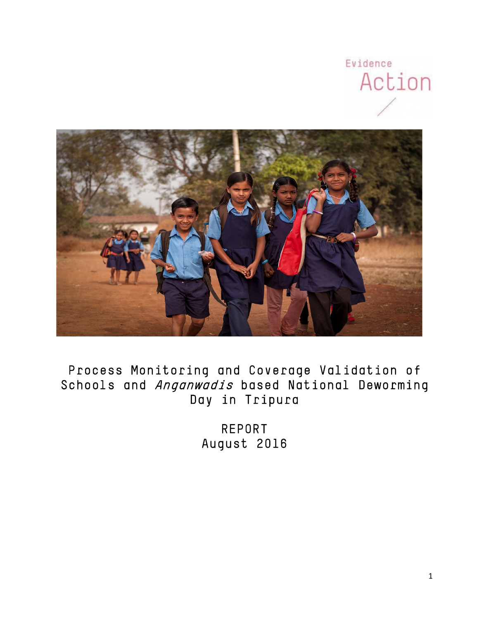



# Process Monitoring and Coverage Validation of Schools and Anganwadis based National Deworming Day in Tripura

REPORT August 2016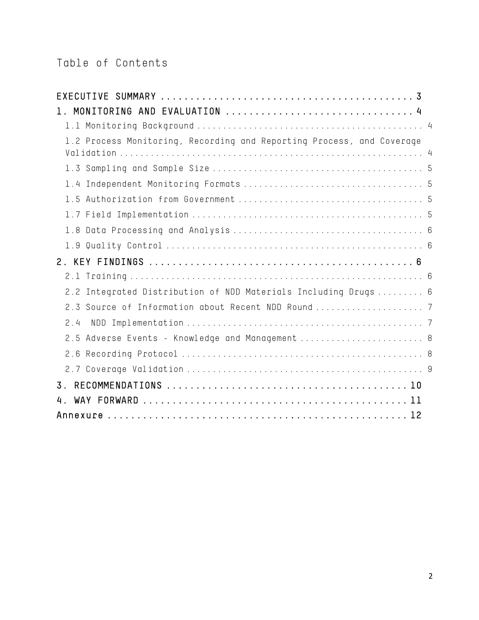# Table of Contents

| 1.2 Process Monitoring, Recording and Reporting Process, and Coverage |  |
|-----------------------------------------------------------------------|--|
|                                                                       |  |
|                                                                       |  |
|                                                                       |  |
|                                                                       |  |
|                                                                       |  |
|                                                                       |  |
| 2 <sub>1</sub>                                                        |  |
|                                                                       |  |
| 2.2 Integrated Distribution of NDD Materials Including Drugs  6       |  |
|                                                                       |  |
| 2.4                                                                   |  |
| 2.5 Adverse Events - Knowledge and Management  8                      |  |
|                                                                       |  |
|                                                                       |  |
| 3 <sub>1</sub>                                                        |  |
| 4.                                                                    |  |
|                                                                       |  |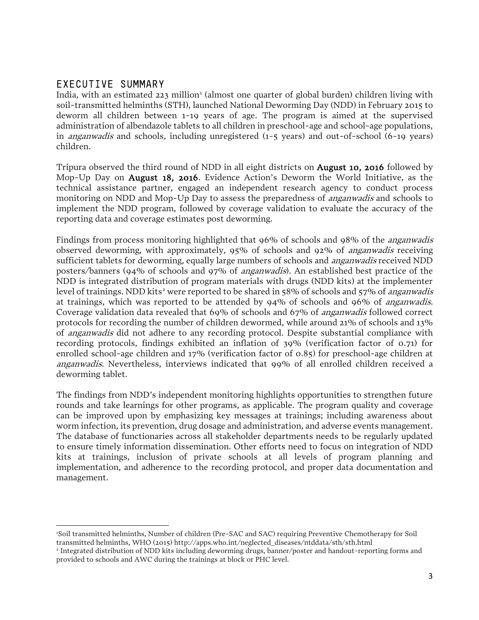### EXECUTIVE SUMMARY

l

India, with an estimated 223 million<sup>1</sup> (almost one quarter of global burden) children living with soil-transmitted helminths (STH), launched National Deworming Day (NDD) in February 2015 to deworm all children between 1-19 years of age. The program is aimed at the supervised administration of albendazole tablets to all children in preschool-age and school-age populations, in anganwadis and schools, including unregistered (1-5 years) and out-of-school (6-19 years) children.

Tripura observed the third round of NDD in all eight districts on August 10, 2016 followed by Mop-Up Day on August 18, 2016. Evidence Action's Deworm the World Initiative, as the technical assistance partner, engaged an independent research agency to conduct process monitoring on NDD and Mop-Up Day to assess the preparedness of *anganwadis* and schools to implement the NDD program, followed by coverage validation to evaluate the accuracy of the reporting data and coverage estimates post deworming.

Findings from process monitoring highlighted that 96% of schools and 98% of the anganwadis observed deworming, with approximately, 95% of schools and 92% of anganwadis receiving sufficient tablets for deworming, equally large numbers of schools and *anganwadis* received NDD posters/banners (94% of schools and 97% of anganwadis). An established best practice of the NDD is integrated distribution of program materials with drugs (NDD kits) at the implementer level of trainings. NDD kits<sup>[2](#page-2-1)</sup> were reported to be shared in 58% of schools and 57% of *anganwadis* at trainings, which was reported to be attended by 94% of schools and 96% of anganwadis. Coverage validation data revealed that 69% of schools and 67% of *anganwadis* followed correct protocols for recording the number of children dewormed, while around 21% of schools and 13% of anganwadis did not adhere to any recording protocol. Despite substantial compliance with recording protocols, findings exhibited an inflation of 39% (verification factor of 0.71) for enrolled school-age children and 17% (verification factor of 0.85) for preschool-age children at anganwadis. Nevertheless, interviews indicated that 99% of all enrolled children received a deworming tablet.

The findings from NDD's independent monitoring highlights opportunities to strengthen future rounds and take learnings for other programs, as applicable. The program quality and coverage can be improved upon by emphasizing key messages at trainings; including awareness about worm infection, its prevention, drug dosage and administration, and adverse events management. The database of functionaries across all stakeholder departments needs to be regularly updated to ensure timely information dissemination. Other efforts need to focus on integration of NDD kits at trainings, inclusion of private schools at all levels of program planning and implementation, and adherence to the recording protocol, and proper data documentation and management.

<span id="page-2-0"></span><sup>1</sup> Soil transmitted helminths, Number of children (Pre-SAC and SAC) requiring Preventive Chemotherapy for Soil transmitted helminths, WHO (2015) http://apps.who.int/neglected\_diseases/ntddata/sth/sth.html

<span id="page-2-1"></span><sup>2</sup> Integrated distribution of NDD kits including deworming drugs, banner/poster and handout-reporting forms and provided to schools and AWC during the trainings at block or PHC level.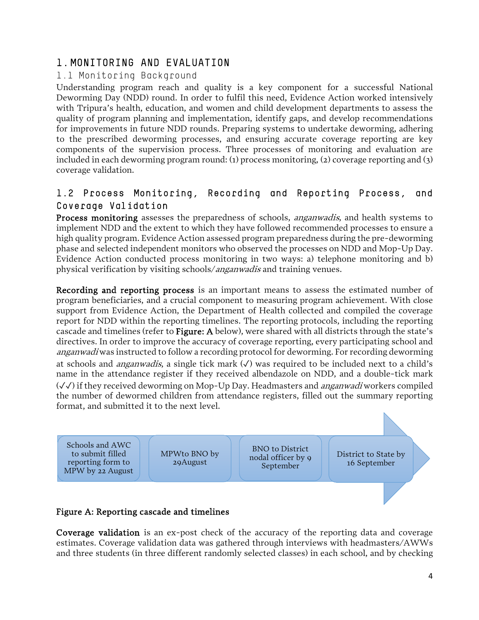### 1. MONITORING AND EVALUATION

#### 1.1 Monitoring Background

Understanding program reach and quality is a key component for a successful National Deworming Day (NDD) round. In order to fulfil this need, Evidence Action worked intensively with Tripura's health, education, and women and child development departments to assess the quality of program planning and implementation, identify gaps, and develop recommendations for improvements in future NDD rounds. Preparing systems to undertake deworming, adhering to the prescribed deworming processes, and ensuring accurate coverage reporting are key components of the supervision process. Three processes of monitoring and evaluation are included in each deworming program round: (1) process monitoring, (2) coverage reporting and (3) coverage validation.

### 1.2 Process Monitoring, Recording and Reporting Process, and Coverage Validation

Process monitoring assesses the preparedness of schools, *anganwadis*, and health systems to implement NDD and the extent to which they have followed recommended processes to ensure a high quality program. Evidence Action assessed program preparedness during the pre-deworming phase and selected independent monitors who observed the processes on NDD and Mop-Up Day. Evidence Action conducted process monitoring in two ways: a) telephone monitoring and b) physical verification by visiting schools/anganwadis and training venues.

Recording and reporting process is an important means to assess the estimated number of program beneficiaries, and a crucial component to measuring program achievement. With close support from Evidence Action, the Department of Health collected and compiled the coverage report for NDD within the reporting timelines. The reporting protocols, including the reporting cascade and timelines (refer to Figure: A below), were shared with all districts through the state's directives. In order to improve the accuracy of coverage reporting, every participating school and anganwadi was instructed to follow a recording protocol for deworming. For recording deworming at schools and *anganwadis*, a single tick mark  $(\checkmark)$  was required to be included next to a child's name in the attendance register if they received albendazole on NDD, and a double-tick mark (✓✓) if they received deworming on Mop-Up Day. Headmasters and *anganwadi* workers compiled the number of dewormed children from attendance registers, filled out the summary reporting format, and submitted it to the next level.



Coverage validation is an ex-post check of the accuracy of the reporting data and coverage estimates. Coverage validation data was gathered through interviews with headmasters/AWWs and three students (in three different randomly selected classes) in each school, and by checking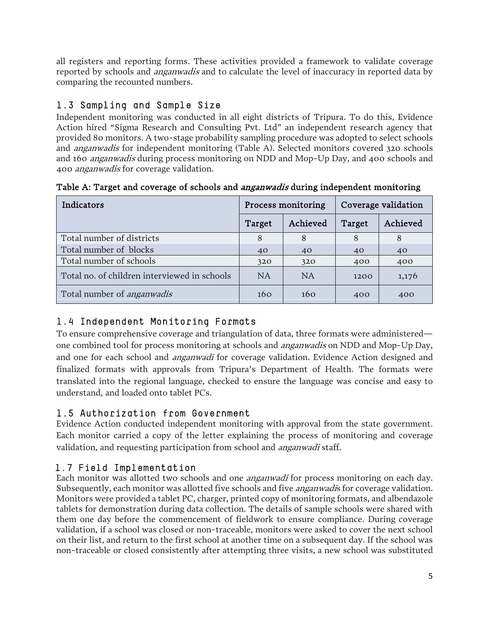all registers and reporting forms. These activities provided a framework to validate coverage reported by schools and *anganwadis* and to calculate the level of inaccuracy in reported data by comparing the recounted numbers.

## 1.3 Sampling and Sample Size

Independent monitoring was conducted in all eight districts of Tripura. To do this, Evidence Action hired "Sigma Research and Consulting Pvt. Ltd" an independent research agency that provided 80 monitors. A two-stage probability sampling procedure was adopted to select schools and anganwadis for independent monitoring (Table A). Selected monitors covered 320 schools and 160 anganwadis during process monitoring on NDD and Mop-Up Day, and 400 schools and 400 anganwadis for coverage validation.

| Indicators                                   |           | Process monitoring | Coverage validation |          |  |
|----------------------------------------------|-----------|--------------------|---------------------|----------|--|
|                                              | Target    | Achieved           | Target              | Achieved |  |
| Total number of districts                    | 8         | 8                  | 8                   | 8        |  |
| Total number of blocks                       | 40        | 40                 | 40                  | 40       |  |
| Total number of schools                      | 320       | 320                | 400                 | 400      |  |
| Total no. of children interviewed in schools | <b>NA</b> | <b>NA</b>          | 1200                | 1,176    |  |
| Total number of <i>anganwadis</i>            | 160       | 160                | 400                 | 400      |  |

Table A: Target and coverage of schools and *anganwadis* during independent monitoring

# 1.4 Independent Monitoring Formats

To ensure comprehensive coverage and triangulation of data, three formats were administered one combined tool for process monitoring at schools and *anganwadis* on NDD and Mop-Up Day, and one for each school and *anganwadi* for coverage validation. Evidence Action designed and finalized formats with approvals from Tripura's Department of Health. The formats were translated into the regional language, checked to ensure the language was concise and easy to understand, and loaded onto tablet PCs.

# 1.5 Authorization from Government

Evidence Action conducted independent monitoring with approval from the state government. Each monitor carried a copy of the letter explaining the process of monitoring and coverage validation, and requesting participation from school and *anganwadi* staff.

# 1.7 Field Implementation

Each monitor was allotted two schools and one *anganwadi* for process monitoring on each day. Subsequently, each monitor was allotted five schools and five *anganwadi*s for coverage validation. Monitors were provided a tablet PC, charger, printed copy of monitoring formats, and albendazole tablets for demonstration during data collection. The details of sample schools were shared with them one day before the commencement of fieldwork to ensure compliance. During coverage validation, if a school was closed or non-traceable, monitors were asked to cover the next school on their list, and return to the first school at another time on a subsequent day. If the school was non-traceable or closed consistently after attempting three visits, a new school was substituted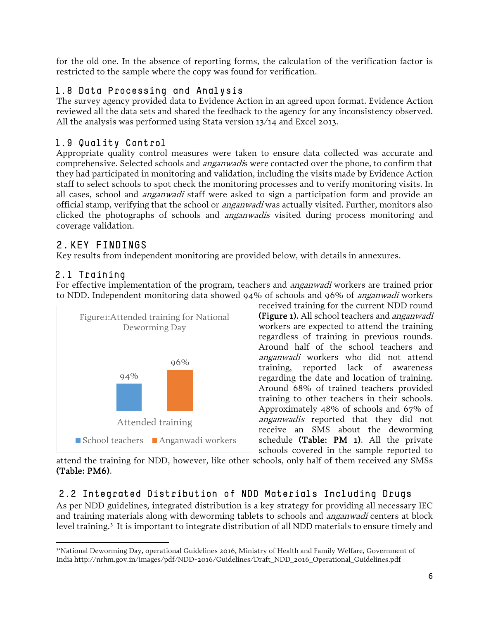for the old one. In the absence of reporting forms, the calculation of the verification factor is restricted to the sample where the copy was found for verification.

### 1.8 Data Processing and Analysis

The survey agency provided data to Evidence Action in an agreed upon format. Evidence Action reviewed all the data sets and shared the feedback to the agency for any inconsistency observed. All the analysis was performed using Stata version 13/14 and Excel 2013.

### 1.9 Quality Control

Appropriate quality control measures were taken to ensure data collected was accurate and comprehensive. Selected schools and *anganwadi*s were contacted over the phone, to confirm that they had participated in monitoring and validation, including the visits made by Evidence Action staff to select schools to spot check the monitoring processes and to verify monitoring visits. In all cases, school and *anganwadi* staff were asked to sign a participation form and provide an official stamp, verifying that the school or *anganwadi* was actually visited. Further, monitors also clicked the photographs of schools and *anganwadis* visited during process monitoring and coverage validation.

# 2. KEY FINDINGS

Key results from independent monitoring are provided below, with details in annexures.

# 2.1 Training

 $\overline{a}$ 

For effective implementation of the program, teachers and *anganwadi* workers are trained prior to NDD. Independent monitoring data showed 94% of schools and 96% of *anganwadi* workers



received training for the current NDD round (Figure 1). All school teachers and *anganwadi* workers are expected to attend the training regardless of training in previous rounds. Around half of the school teachers and anganwadi workers who did not attend training, reported lack of awareness regarding the date and location of training. Around 68% of trained teachers provided training to other teachers in their schools. Approximately 48% of schools and 67% of anganwadis reported that they did not receive an SMS about the deworming schedule (Table: PM 1). All the private schools covered in the sample reported to

attend the training for NDD, however, like other schools, only half of them received any SMSs (Table: PM6).

# 2.2 Integrated Distribution of NDD Materials Including Drugs

As per NDD guidelines, integrated distribution is a key strategy for providing all necessary IEC and training materials along with deworming tablets to schools and *anganwadi* centers at block level training.[3](#page-5-0) It is important to integrate distribution of all NDD materials to ensure timely and

<span id="page-5-0"></span><sup>3</sup> 'National Deworming Day, operational Guidelines 2016, Ministry of Health and Family Welfare, Government of India http://nrhm.gov.in/images/pdf/NDD-2016/Guidelines/Draft\_NDD\_2016\_Operational\_Guidelines.pdf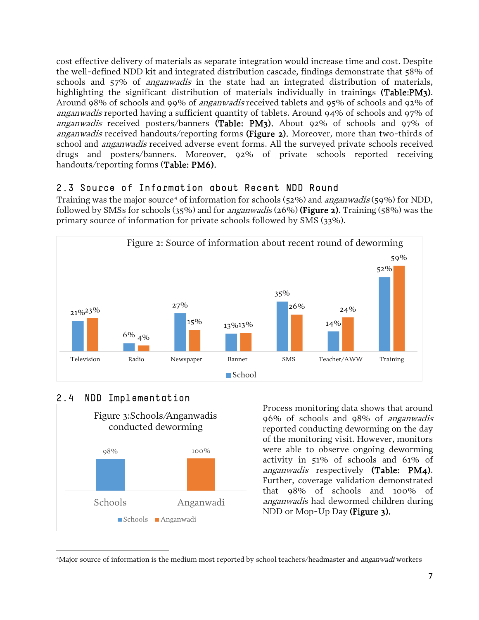cost effective delivery of materials as separate integration would increase time and cost. Despite the well-defined NDD kit and integrated distribution cascade, findings demonstrate that 58% of schools and 57% of *anganwadis* in the state had an integrated distribution of materials, highlighting the significant distribution of materials individually in trainings (Table:PM3). Around 98% of schools and 99% of anganwadis received tablets and 95% of schools and 92% of anganwadis reported having a sufficient quantity of tablets. Around 94% of schools and 97% of anganwadis received posters/banners (Table: PM3). About 92% of schools and 97% of anganwadis received handouts/reporting forms (Figure 2). Moreover, more than two-thirds of school and *anganwadis* received adverse event forms. All the surveyed private schools received drugs and posters/banners. Moreover, 92% of private schools reported receiving handouts/reporting forms (Table: PM6).

#### 2.3 Source of Information about Recent NDD Round

Training was the major source<sup>[4](#page-6-0)</sup> of information for schools (52%) and *anganwadis* (59%) for NDD, followed by SMSs for schools (35%) and for *anganwadis* (26%) (Figure 2). Training (58%) was the primary source of information for private schools followed by SMS (33%).



### 2.4 NDD Implementation

 $\overline{\phantom{a}}$ 



Process monitoring data shows that around 96% of schools and 98% of anganwadis reported conducting deworming on the day of the monitoring visit. However, monitors were able to observe ongoing deworming activity in 51% of schools and 61% of anganwadis respectively (Table: PM4). Further, coverage validation demonstrated that 98% of schools and 100% of anganwadis had dewormed children during NDD or Mop-Up Day (Figure 3).

<span id="page-6-0"></span><sup>&</sup>lt;sup>4</sup>Major source of information is the medium most reported by school teachers/headmaster and *anganwadi* workers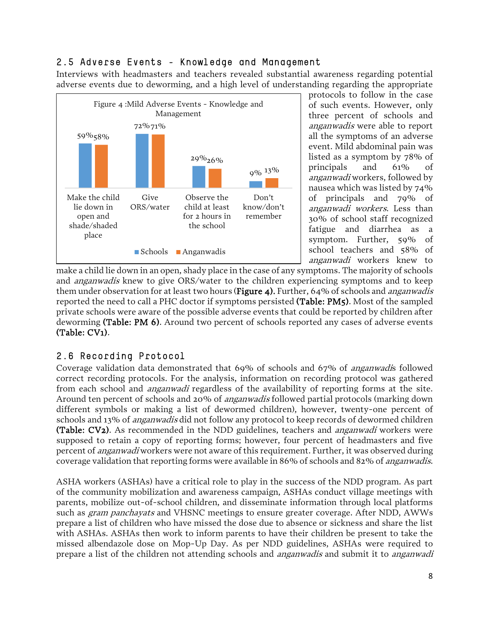#### 2.5 Adverse Events - Knowledge and Management

Interviews with headmasters and teachers revealed substantial awareness regarding potential adverse events due to deworming, and a high level of understanding regarding the appropriate



protocols to follow in the case of such events. However, only three percent of schools and anganwadis were able to report all the symptoms of an adverse event. Mild abdominal pain was listed as a symptom by 78% of principals and 61% of anganwadi workers, followed by nausea which was listed by 74% of principals and 79% of anganwadi workers. Less than 30% of school staff recognized fatigue and diarrhea as a symptom. Further, 59% of school teachers and 58% of anganwadi workers knew to

make a child lie down in an open, shady place in the case of any symptoms. The majority of schools and *anganwadis* knew to give ORS/water to the children experiencing symptoms and to keep them under observation for at least two hours (**Figure 4).** Further, 64% of schools and *anganwadis* reported the need to call a PHC doctor if symptoms persisted (Table: PM5). Most of the sampled private schools were aware of the possible adverse events that could be reported by children after deworming (Table: PM 6). Around two percent of schools reported any cases of adverse events (Table: CV1).

### 2.6 Recording Protocol

Coverage validation data demonstrated that 69% of schools and 67% of anganwadis followed correct recording protocols. For the analysis, information on recording protocol was gathered from each school and *anganwadi* regardless of the availability of reporting forms at the site. Around ten percent of schools and 20% of *anganwadis* followed partial protocols (marking down different symbols or making a list of dewormed children), however, twenty-one percent of schools and 13% of *anganwadis* did not follow any protocol to keep records of dewormed children (Table: CV2). As recommended in the NDD guidelines, teachers and *anganwadi* workers were supposed to retain a copy of reporting forms; however, four percent of headmasters and five percent of anganwadi workers were not aware of this requirement. Further, it was observed during coverage validation that reporting forms were available in 86% of schools and 82% of anganwadis.

ASHA workers (ASHAs) have a critical role to play in the success of the NDD program. As part of the community mobilization and awareness campaign, ASHAs conduct village meetings with parents, mobilize out-of-school children, and disseminate information through local platforms such as *gram panchayats* and VHSNC meetings to ensure greater coverage. After NDD, AWWs prepare a list of children who have missed the dose due to absence or sickness and share the list with ASHAs. ASHAs then work to inform parents to have their children be present to take the missed albendazole dose on Mop-Up Day. As per NDD guidelines, ASHAs were required to prepare a list of the children not attending schools and *anganwadis* and submit it to *anganwadi*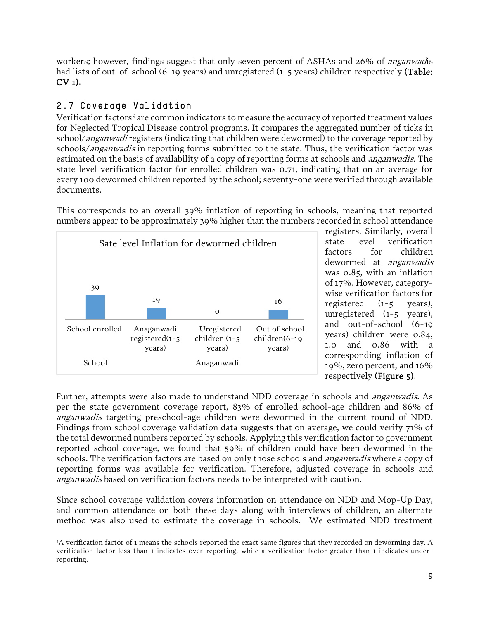workers; however, findings suggest that only seven percent of ASHAs and 26% of *anganwad* is had lists of out-of-school (6-19 years) and unregistered (1-5 years) children respectively (Table: CV 1).

### 2.7 Coverage Validation

Verification factors<sup>[5](#page-8-0)</sup> are common indicators to measure the accuracy of reported treatment values for Neglected Tropical Disease control programs. It compares the aggregated number of ticks in school/anganwadi registers (indicating that children were dewormed) to the coverage reported by schools/anganwadis in reporting forms submitted to the state. Thus, the verification factor was estimated on the basis of availability of a copy of reporting forms at schools and *anganwadis*. The state level verification factor for enrolled children was 0.71, indicating that on an average for every 100 dewormed children reported by the school; seventy-one were verified through available documents.

This corresponds to an overall 39% inflation of reporting in schools, meaning that reported numbers appear to be approximately 39% higher than the numbers recorded in school attendance



registers. Similarly, overall state level verification factors for children dewormed at anganwadis was 0.85, with an inflation of 17%. However, categorywise verification factors for registered (1-5 years), unregistered (1-5 years), and out-of-school (6-19 years) children were 0.84, 1.0 and 0.86 with a corresponding inflation of 19%, zero percent, and 16% respectively (Figure 5).

Further, attempts were also made to understand NDD coverage in schools and anganwadis. As per the state government coverage report, 83% of enrolled school-age children and 86% of anganwadis targeting preschool-age children were dewormed in the current round of NDD. Findings from school coverage validation data suggests that on average, we could verify 71% of the total dewormed numbers reported by schools. Applying this verification factor to government reported school coverage, we found that 59% of children could have been dewormed in the schools. The verification factors are based on only those schools and *anganwadis* where a copy of reporting forms was available for verification. Therefore, adjusted coverage in schools and anganwadis based on verification factors needs to be interpreted with caution.

Since school coverage validation covers information on attendance on NDD and Mop-Up Day, and common attendance on both these days along with interviews of children, an alternate method was also used to estimate the coverage in schools. We estimated NDD treatment

<span id="page-8-0"></span>l 5 A verification factor of 1 means the schools reported the exact same figures that they recorded on deworming day. A verification factor less than 1 indicates over-reporting, while a verification factor greater than 1 indicates underreporting.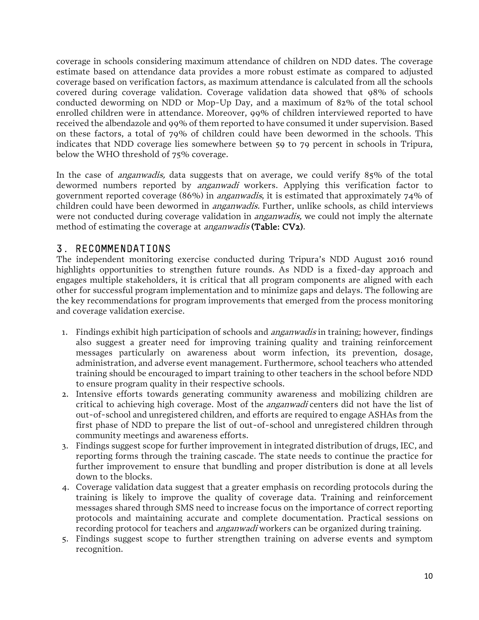coverage in schools considering maximum attendance of children on NDD dates. The coverage estimate based on attendance data provides a more robust estimate as compared to adjusted coverage based on verification factors, as maximum attendance is calculated from all the schools covered during coverage validation. Coverage validation data showed that 98% of schools conducted deworming on NDD or Mop-Up Day, and a maximum of 82% of the total school enrolled children were in attendance. Moreover, 99% of children interviewed reported to have received the albendazole and 99% of them reported to have consumed it under supervision. Based on these factors, a total of 79% of children could have been dewormed in the schools. This indicates that NDD coverage lies somewhere between 59 to 79 percent in schools in Tripura, below the WHO threshold of 75% coverage.

In the case of *anganwadis*, data suggests that on average, we could verify 85% of the total dewormed numbers reported by *anganwadi* workers. Applying this verification factor to government reported coverage (86%) in anganwadis, it is estimated that approximately 74% of children could have been dewormed in *anganwadis.* Further, unlike schools, as child interviews were not conducted during coverage validation in *anganwadis*, we could not imply the alternate method of estimating the coverage at *anganwadis* (Table: CV2).

### 3. RECOMMENDATIONS

The independent monitoring exercise conducted during Tripura's NDD August 2016 round highlights opportunities to strengthen future rounds. As NDD is a fixed-day approach and engages multiple stakeholders, it is critical that all program components are aligned with each other for successful program implementation and to minimize gaps and delays. The following are the key recommendations for program improvements that emerged from the process monitoring and coverage validation exercise.

- 1. Findings exhibit high participation of schools and *anganwadis* in training; however, findings also suggest a greater need for improving training quality and training reinforcement messages particularly on awareness about worm infection, its prevention, dosage, administration, and adverse event management. Furthermore, school teachers who attended training should be encouraged to impart training to other teachers in the school before NDD to ensure program quality in their respective schools.
- 2. Intensive efforts towards generating community awareness and mobilizing children are critical to achieving high coverage. Most of the *anganwadi* centers did not have the list of out-of-school and unregistered children, and efforts are required to engage ASHAs from the first phase of NDD to prepare the list of out-of-school and unregistered children through community meetings and awareness efforts.
- 3. Findings suggest scope for further improvement in integrated distribution of drugs, IEC, and reporting forms through the training cascade. The state needs to continue the practice for further improvement to ensure that bundling and proper distribution is done at all levels down to the blocks.
- 4. Coverage validation data suggest that a greater emphasis on recording protocols during the training is likely to improve the quality of coverage data. Training and reinforcement messages shared through SMS need to increase focus on the importance of correct reporting protocols and maintaining accurate and complete documentation. Practical sessions on recording protocol for teachers and *anganwadi* workers can be organized during training.
- 5. Findings suggest scope to further strengthen training on adverse events and symptom recognition.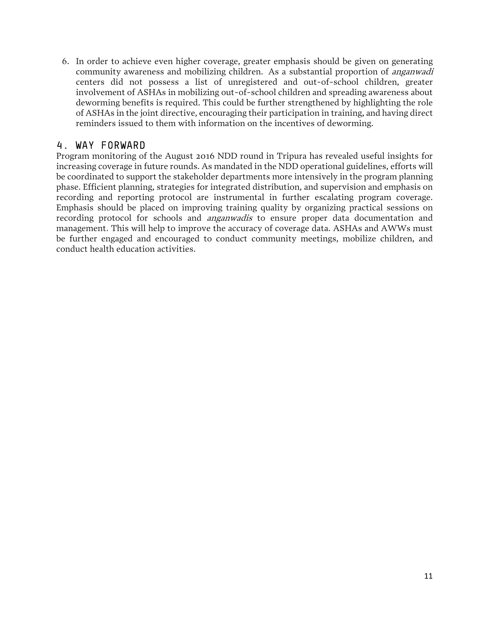6. In order to achieve even higher coverage, greater emphasis should be given on generating community awareness and mobilizing children. As a substantial proportion of *anganwadi* centers did not possess a list of unregistered and out-of-school children, greater involvement of ASHAs in mobilizing out-of-school children and spreading awareness about deworming benefits is required. This could be further strengthened by highlighting the role of ASHAs in the joint directive, encouraging their participation in training, and having direct reminders issued to them with information on the incentives of deworming.

#### 4. WAY FORWARD

Program monitoring of the August 2016 NDD round in Tripura has revealed useful insights for increasing coverage in future rounds. As mandated in the NDD operational guidelines, efforts will be coordinated to support the stakeholder departments more intensively in the program planning phase. Efficient planning, strategies for integrated distribution, and supervision and emphasis on recording and reporting protocol are instrumental in further escalating program coverage. Emphasis should be placed on improving training quality by organizing practical sessions on recording protocol for schools and *anganwadis* to ensure proper data documentation and management. This will help to improve the accuracy of coverage data. ASHAs and AWWs must be further engaged and encouraged to conduct community meetings, mobilize children, and conduct health education activities.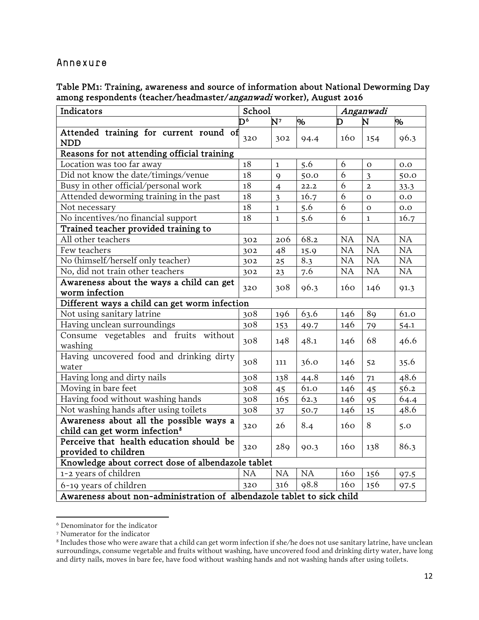#### Annexure

Table PM1: Training, awareness and source of information about National Deworming Day among respondents (teacher/headmaster/anganwadi worker), August 2016

| Indicators                                                                           |           | School                  |      |     | Anganwadi               |      |  |  |
|--------------------------------------------------------------------------------------|-----------|-------------------------|------|-----|-------------------------|------|--|--|
|                                                                                      | ĕ         | N <sup>7</sup>          | %    | D   | N                       | %    |  |  |
| Attended training for current round of<br><b>NDD</b>                                 | 320       | 302                     | 94.4 | 160 | 154                     | 96.3 |  |  |
| Reasons for not attending official training                                          |           |                         |      |     |                         |      |  |  |
| Location was too far away                                                            | 18        | $\mathbf{1}$            | 5.6  | 6   | $\Omega$                | 0.0  |  |  |
| Did not know the date/timings/venue                                                  | $18\,$    | $\mathsf{Q}$            | 50.0 | 6   | $\overline{\mathbf{3}}$ | 50.0 |  |  |
| Busy in other official/personal work                                                 | $18\,$    | $\overline{4}$          | 22.2 | 6   | $\overline{2}$          | 33.3 |  |  |
| Attended deworming training in the past                                              | $18\,$    | $\overline{\mathbf{3}}$ | 16.7 | 6   | $\mathbf{O}$            | 0.0  |  |  |
| Not necessary                                                                        | $18\,$    | $\mathbf{1}$            | 5.6  | 6   | $\mathbf O$             | 0.0  |  |  |
| No incentives/no financial support                                                   | $18\,$    | $\mathbf{1}$            | 5.6  | 6   | $\mathbf{1}$            | 16.7 |  |  |
| Trained teacher provided training to                                                 |           |                         |      |     |                         |      |  |  |
| All other teachers                                                                   | 302       | 206                     | 68.2 | NA  | <b>NA</b>               | NA   |  |  |
| Few teachers                                                                         | 302       | 48                      | 15.9 | NA  | NA                      | NA   |  |  |
| No (himself/herself only teacher)                                                    | 302       | 25                      | 8.3  | NA  | NA                      | NA   |  |  |
| No, did not train other teachers                                                     | 302       | 23                      | 7.6  | NA  | NA                      | NA   |  |  |
| Awareness about the ways a child can get<br>worm infection                           | 320       | 308                     | 96.3 | 160 | 146                     | 91.3 |  |  |
| Different ways a child can get worm infection                                        |           |                         |      |     |                         |      |  |  |
| Not using sanitary latrine                                                           | 308       | 196                     | 63.6 | 146 | 89                      | 61.0 |  |  |
| Having unclean surroundings                                                          | 308       | 153                     | 49.7 | 146 | 79                      | 54.1 |  |  |
| Consume vegetables and fruits without<br>washing                                     | 308       | 148                     | 48.1 | 146 | 68                      | 46.6 |  |  |
| Having uncovered food and drinking dirty<br>water                                    | 308       | 111                     | 36.0 | 146 | 52                      | 35.6 |  |  |
| Having long and dirty nails                                                          | 308       | 138                     | 44.8 | 146 | 71                      | 48.6 |  |  |
| Moving in bare feet                                                                  | 308       | 45                      | 61.0 | 146 | 45                      | 56.2 |  |  |
| Having food without washing hands                                                    | 308       | 165                     | 62.3 | 146 | 95                      | 64.4 |  |  |
| Not washing hands after using toilets                                                | 308       | 37                      | 50.7 | 146 | 15                      | 48.6 |  |  |
| Awareness about all the possible ways a<br>child can get worm infection <sup>8</sup> | 320       | 26                      | 8.4  | 160 | 8                       | 5.0  |  |  |
| Perceive that health education should be<br>provided to children                     | 320       | 289                     | 90.3 | 160 | 138                     | 86.3 |  |  |
| Knowledge about correct dose of albendazole tablet                                   |           |                         |      |     |                         |      |  |  |
| 1-2 years of children                                                                | <b>NA</b> | NA                      | NA   | 160 | 156                     | 97.5 |  |  |
| 6-19 years of children                                                               | 320       | 316                     | 98.8 | 160 | 156                     | 97.5 |  |  |
| Awareness about non-administration of albendazole tablet to sick child               |           |                         |      |     |                         |      |  |  |

<span id="page-11-0"></span><sup>6</sup> Denominator for the indicator

<span id="page-11-1"></span><sup>7</sup> Numerator for the indicator

<span id="page-11-2"></span><sup>8</sup> Includes those who were aware that a child can get worm infection if she/he does not use sanitary latrine, have unclean surroundings, consume vegetable and fruits without washing, have uncovered food and drinking dirty water, have long and dirty nails, moves in bare fee, have food without washing hands and not washing hands after using toilets.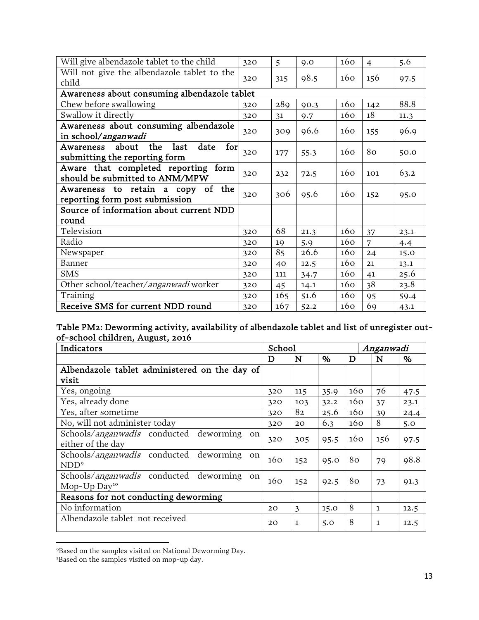| Will give albendazole tablet to the child                                         | 320 | 5   | 9.0  | 160 | $\overline{4}$ | 5.6  |
|-----------------------------------------------------------------------------------|-----|-----|------|-----|----------------|------|
| Will not give the albendazole tablet to the                                       | 320 |     | 98.5 | 160 | 156            |      |
| child                                                                             |     | 315 |      |     |                | 97.5 |
| Awareness about consuming albendazole tablet                                      |     |     |      |     |                |      |
| Chew before swallowing                                                            | 320 | 289 | 90.3 | 160 | 142            | 88.8 |
| Swallow it directly                                                               | 320 | 31  | 9.7  | 160 | 18             | 11.3 |
| Awareness about consuming albendazole<br>in school/anganwadi                      | 320 | 309 | 96.6 | 160 | 155            | 96.9 |
| about<br>the<br>for<br>last<br>date<br>Awareness<br>submitting the reporting form | 320 | 177 | 55.3 | 160 | 80             | 50.0 |
| Aware that completed reporting form<br>should be submitted to ANM/MPW             | 320 | 232 | 72.5 | 160 | 101            | 63.2 |
| a copy of the<br>Awareness to retain<br>reporting form post submission            | 320 | 306 | 95.6 | 160 | 152            | 95.0 |
| Source of information about current NDD                                           |     |     |      |     |                |      |
| round                                                                             |     |     |      |     |                |      |
| Television                                                                        | 320 | 68  | 21.3 | 160 | 37             | 23.1 |
| Radio                                                                             | 320 | 19  | 5.9  | 160 | 7              | 4.4  |
| Newspaper                                                                         | 320 | 85  | 26.6 | 160 | 24             | 15.0 |
| Banner                                                                            | 320 | 40  | 12.5 | 160 | 21             | 13.1 |
| <b>SMS</b>                                                                        | 320 | 111 | 34.7 | 160 | 41             | 25.6 |
| Other school/teacher/anganwadi worker                                             | 320 | 45  | 14.1 | 160 | 38             | 23.8 |
| Training                                                                          | 320 | 165 | 51.6 | 160 | 95             | 59.4 |
| Receive SMS for current NDD round                                                 | 320 | 167 | 52.2 | 160 | 69             | 43.1 |

#### Table PM2: Deworming activity, availability of albendazole tablet and list of unregister outof-school children, August, 2016

| Indicators                                                      | School |              |      |     | Anganwadi    |      |
|-----------------------------------------------------------------|--------|--------------|------|-----|--------------|------|
|                                                                 | D      | N            | %    | D   | N            | %    |
| Albendazole tablet administered on the day of                   |        |              |      |     |              |      |
| visit                                                           |        |              |      |     |              |      |
| Yes, ongoing                                                    | 320    | 115          | 35.9 | 160 | 76           | 47.5 |
| Yes, already done                                               | 320    | 103          | 32.2 | 160 | 37           | 23.1 |
| Yes, after sometime                                             | 320    | 82           | 25.6 | 160 | 39           | 24.4 |
| No, will not administer today                                   | 320    | 20           | 6.3  | 160 | 8            | 5.0  |
| Schools/ <i>anganwadis</i> conducted deworming<br><sub>on</sub> | 320    | 305          | 95.5 | 160 | 156          |      |
| either of the day                                               |        |              |      |     |              | 97.5 |
| Schools/ <i>anganwadis</i> conducted deworming<br>on            | 160    | 152          | 95.0 | 80  | 79           | 98.8 |
| NDD <sup>9</sup>                                                |        |              |      |     |              |      |
| Schools/ <i>anganwadis</i> conducted deworming<br><sub>on</sub> | 160    | 152          | 92.5 | 80  |              |      |
| Mop- $Up$ Day <sup>10</sup>                                     |        |              |      |     | 73           | 91.3 |
| Reasons for not conducting deworming                            |        |              |      |     |              |      |
| No information                                                  | 20     | 3            | 15.0 | 8   | $\mathbf{1}$ | 12.5 |
| Albendazole tablet not received                                 | 20     | $\mathbf{1}$ | 5.0  | 8   | 1            | 12.5 |

<span id="page-12-0"></span><sup>9</sup>Based on the samples visited on National Deworming Day.

 $\overline{a}$ 

<span id="page-12-1"></span><sup>5</sup> Based on the samples visited on mop-up day.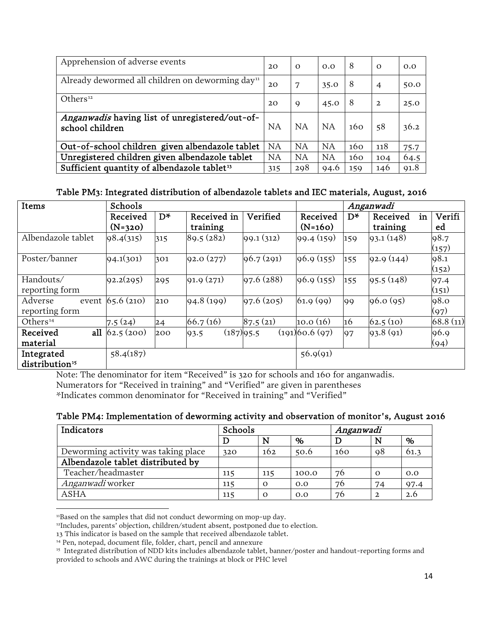| Apprehension of adverse events                                    | 20  | $\Omega$  | 0.0       | 8   | $\Omega$       | 0.0  |
|-------------------------------------------------------------------|-----|-----------|-----------|-----|----------------|------|
| Already dewormed all children on deworming day <sup>11</sup>      | 20  | -7        | 35.0      | 8   | $\overline{4}$ | 50.0 |
| Others <sup>12</sup>                                              | 20  | 9         | 45.0      | 8   | $\mathbf{2}$   | 25.0 |
| Anganwadis having list of unregistered/out-of-<br>school children | NA  | <b>NA</b> | <b>NA</b> | 160 | 58             | 36.2 |
| Out-of-school children given albendazole tablet                   | NA  | NA        | NA        | 160 | 118            | 75.7 |
| Unregistered children given albendazole tablet                    | NA  | NA        | NA        | 160 | 104            | 64.5 |
| Sufficient quantity of albendazole tablet <sup>13</sup>           | 315 | 298       | 94.6      | 159 | 146            | 91.8 |

#### Table PM3: Integrated distribution of albendazole tablets and IEC materials, August, 2016

| Items                      | Schools                         |       |             |            | Anganwadi     |      |                |          |
|----------------------------|---------------------------------|-------|-------------|------------|---------------|------|----------------|----------|
|                            | Received                        | $D^*$ | Received in | Verified   | Received      | $D*$ | in<br>Received | Verifi   |
|                            | $(N=320)$                       |       | training    |            | $(N=160)$     |      | training       | ed       |
| Albendazole tablet         | 98.4(315)                       | 315   | 89.5(282)   | 99.1(312)  | 99.4(159)     | 159  | 93.1(148)      | 98.7     |
|                            |                                 |       |             |            |               |      |                | (157)    |
| Poster/banner              | 94.1(301)                       | 301   | 92.0(277)   | 96.7(291)  | 96.9(155)     | 155  | 92.9(144)      | 98.1     |
|                            |                                 |       |             |            |               |      |                | (152)    |
| Handouts/                  | 92.2(295)                       | 295   | 91.9(271)   | 97.6 (288) | 96.9(155)     | 155  | 95.5(148)      | 97.4     |
| reporting form             |                                 |       |             |            |               |      |                | (151)    |
| Adverse<br>event           | 65.6(210)                       | 210   | 94.8(199)   | 97.6(205)  | 61.9(99)      | 99   | 96.0(95)       | 98.0     |
| reporting form             |                                 |       |             |            |               |      |                | (97)     |
| Others $14$                | 7.5(24)                         | 24    | 66.7(16)    | 87.5(21)   | 10.0(16)      | 16   | 62.5(10)       | 68.8(11) |
| Received                   | all $\left  62.5 \right  (200)$ | 200   | 93.5        | (187)95.5  | (191)60.6(97) | 97   | 93.8(91)       | 96.9     |
| material                   |                                 |       |             |            |               |      |                | (94)     |
| Integrated                 | 58.4(187)                       |       |             |            | 56.9(91)      |      |                |          |
| distribution <sup>15</sup> |                                 |       |             |            |               |      |                |          |

Note: The denominator for item "Received" is 320 for schools and 160 for anganwadis. Numerators for "Received in training" and "Verified" are given in parentheses \*Indicates common denominator for "Received in training" and "Verified"

#### Table PM4: Implementation of deworming activity and observation of monitor's, August 2016

| Indicators                          | Schools |          |       | Anganwadi |                 |      |
|-------------------------------------|---------|----------|-------|-----------|-----------------|------|
|                                     |         | N        | %     |           | N               | %    |
| Deworming activity was taking place | 320     | 162      | 50.6  | 160       | $\overline{98}$ | 61.3 |
| Albendazole tablet distributed by   |         |          |       |           |                 |      |
| Teacher/headmaster                  | 115     | 115      | 100.0 | 76        | $\Omega$        | 0.0  |
| Anganwadi worker                    | 115     | $\Omega$ | 0.0   | 76        | 74              | 97.4 |
| ASHA                                | 115     | $\Omega$ | 0.0   | 76        | $\overline{2}$  | 2.6  |

<span id="page-13-0"></span><sup>&</sup>lt;sup>11</sup>Based on the samples that did not conduct deworming on mop-up day.

<sup>12</sup>Includes, parents' objection, children/student absent, postponed due to election.

<span id="page-13-3"></span><span id="page-13-2"></span><span id="page-13-1"></span><sup>13</sup> This indicator is based on the sample that received albendazole tablet.

<sup>&</sup>lt;sup>14</sup> Pen, notepad, document file, folder, chart, pencil and annexure

<span id="page-13-4"></span><sup>&</sup>lt;sup>15</sup> Integrated distribution of NDD kits includes albendazole tablet, banner/poster and handout-reporting forms and provided to schools and AWC during the trainings at block or PHC level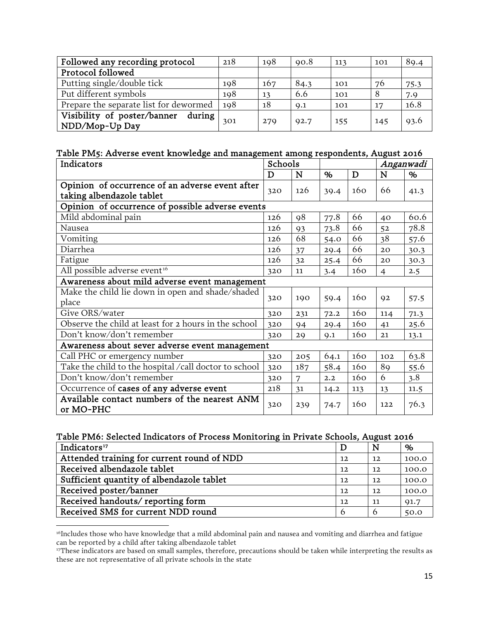| Followed any recording protocol                           | 218 | 198 | 90.8 | 113 | 101 | 89.4 |
|-----------------------------------------------------------|-----|-----|------|-----|-----|------|
| Protocol followed                                         |     |     |      |     |     |      |
| Putting single/double tick                                | 198 | 167 | 84.3 | 101 | 76  | 75.3 |
| Put different symbols                                     | 198 | 13  | 6.6  | 101 | 8   | 7.9  |
| Prepare the separate list for dewormed                    | 198 | 18  | 9.1  | 101 | 17  | 16.8 |
| Visibility of poster/banner<br>during  <br>NDD/Mop-Up Day | 301 | 279 | 92.7 | 155 | 145 | 93.6 |

#### Table PM5: Adverse event knowledge and management among respondents, August 2016

| Indicators                                                | Schools |     |      |     |                | Anganwadi |
|-----------------------------------------------------------|---------|-----|------|-----|----------------|-----------|
|                                                           | D       | N   | %    | D   | ${\bf N}$      | %         |
| Opinion of occurrence of an adverse event after           | 320     | 126 | 39.4 | 160 | 66             | 41.3      |
| taking albendazole tablet                                 |         |     |      |     |                |           |
| Opinion of occurrence of possible adverse events          |         |     |      |     |                |           |
| Mild abdominal pain                                       | 126     | 98  | 77.8 | 66  | 40             | 60.6      |
| Nausea                                                    | 126     | 93  | 73.8 | 66  | 52             | 78.8      |
| Vomiting                                                  | 126     | 68  | 54.0 | 66  | 38             | 57.6      |
| Diarrhea                                                  | 126     | 37  | 29.4 | 66  | 20             | 30.3      |
| Fatigue                                                   | 126     | 32  | 25.4 | 66  | 20             | 30.3      |
| All possible adverse event <sup>16</sup>                  | 320     | 11  | 3.4  | 160 | $\overline{4}$ | 2.5       |
| Awareness about mild adverse event management             |         |     |      |     |                |           |
| Make the child lie down in open and shade/shaded          | 320     | 190 |      | 160 | Q <sub>2</sub> |           |
| place                                                     |         |     | 59.4 |     |                | 57.5      |
| Give ORS/water                                            | 320     | 231 | 72.2 | 160 | 114            | 71.3      |
| Observe the child at least for 2 hours in the school      | 320     | 94  | 29.4 | 160 | 41             | 25.6      |
| Don't know/don't remember                                 | 320     | 29  | Q.1  | 160 | 21             | 13.1      |
| Awareness about sever adverse event management            |         |     |      |     |                |           |
| Call PHC or emergency number                              | 320     | 205 | 64.1 | 160 | 102            | 63.8      |
| Take the child to the hospital /call doctor to school     | 320     | 187 | 58.4 | 160 | 89             | 55.6      |
| Don't know/don't remember                                 | 320     | 7   | 2.2  | 160 | 6              | 3.8       |
| Occurrence of cases of any adverse event                  | 218     | 31  | 14.2 | 113 | 13             | 11.5      |
| Available contact numbers of the nearest ANM<br>or MO-PHC | 320     | 239 | 74.7 | 160 | 122            | 76.3      |

#### Table PM6: Selected Indicators of Process Monitoring in Private Schools, August 2016

| Indicators <sup>17</sup>                   |    | N                 | %     |
|--------------------------------------------|----|-------------------|-------|
| Attended training for current round of NDD | 12 | $12 \overline{ }$ | 100.0 |
| Received albendazole tablet                | 12 | $12 \overline{ }$ | 100.0 |
| Sufficient quantity of albendazole tablet  | 12 | 12                | 100.0 |
| Received poster/banner                     | 12 | $12 \overline{ }$ | 100.0 |
| Received handouts/reporting form           | 12 | 11                | 91.7  |
| Received SMS for current NDD round         |    |                   | 50.0  |

<span id="page-14-0"></span><sup>&</sup>lt;sup>16</sup>Includes those who have knowledge that a mild abdominal pain and nausea and vomiting and diarrhea and fatigue can be reported by a child after taking albendazole tablet

l

<span id="page-14-1"></span><sup>&</sup>lt;sup>17</sup>These indicators are based on small samples, therefore, precautions should be taken while interpreting the results as these are not representative of all private schools in the state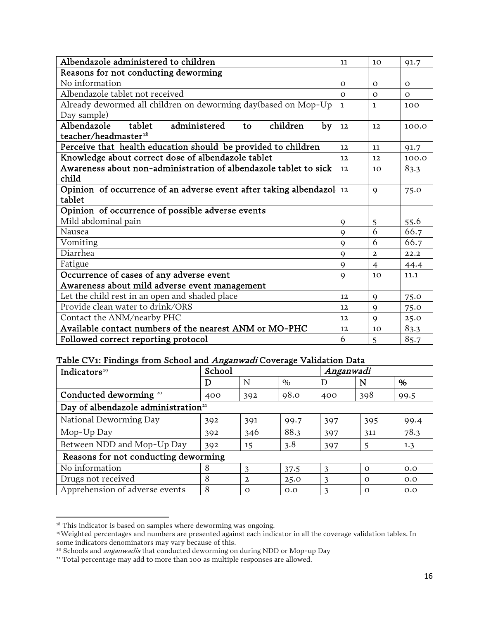| Albendazole administered to children                                 | 11           | 10             | 91.7     |
|----------------------------------------------------------------------|--------------|----------------|----------|
| Reasons for not conducting deworming                                 |              |                |          |
| No information                                                       | $\Omega$     | $\Omega$       | $\Omega$ |
| Albendazole tablet not received                                      | $\Omega$     | $\Omega$       | $\Omega$ |
| Already dewormed all children on deworming day(based on Mop-Up       | $\mathbf{1}$ | 1.             | 100      |
| Day sample)                                                          |              |                |          |
| Albendazole<br>administered<br>tablet<br>children<br>by<br>to        | 12           | 12             | 100.0    |
| teacher/headmaster <sup>18</sup>                                     |              |                |          |
| Perceive that health education should be provided to children        | 12.          | 11             | 91.7     |
| Knowledge about correct dose of albendazole tablet                   | 12           | 12             | 100.0    |
| Awareness about non-administration of albendazole tablet to sick     | 12           | 10             | 83.3     |
| child                                                                |              |                |          |
| Opinion of occurrence of an adverse event after taking albendazol 12 |              | $\mathbf Q$    | 75.0     |
| tablet                                                               |              |                |          |
| Opinion of occurrence of possible adverse events                     |              |                |          |
| Mild abdominal pain                                                  | $\mathbf Q$  | 5              | 55.6     |
| Nausea                                                               | $\mathbf Q$  | 6              | 66.7     |
| Vomiting                                                             | $\mathbf Q$  | 6              | 66.7     |
| Diarrhea                                                             | 9            | $\overline{2}$ | 22.2     |
| Fatigue                                                              | $\mathbf Q$  | $\overline{4}$ | 44.4     |
| Occurrence of cases of any adverse event                             | 9            | 10             | 11.1     |
| Awareness about mild adverse event management                        |              |                |          |
| Let the child rest in an open and shaded place                       | 12           | 9              | 75.0     |
| Provide clean water to drink/ORS                                     | 12           | $\mathbf Q$    | 75.0     |
| Contact the ANM/nearby PHC                                           | 12           | $\mathbf Q$    | 25.0     |
| Available contact numbers of the nearest ANM or MO-PHC               | 12           | 10             | 83.3     |
| Followed correct reporting protocol                                  | 6            | 5              | 85.7     |

#### Table CV1: Findings from School and *Anganwadi* Coverage Validation Data

| Indicators <sup>19</sup>                        | School |              |      | Anganwadi |          |      |
|-------------------------------------------------|--------|--------------|------|-----------|----------|------|
|                                                 | D      | N            | $\%$ | D         | N        | %    |
| Conducted deworming <sup>20</sup>               | 400    | 392          | 98.0 | 400       | 398      | 99.5 |
| Day of albendazole administration <sup>21</sup> |        |              |      |           |          |      |
| National Deworming Day                          | 392    | 391          | 99.7 | 397       | 395      | 99.4 |
| Mop-Up Day                                      | 392    | 346          | 88.3 | 397       | 311      | 78.3 |
| Between NDD and Mop-Up Day                      | 392    | 15           | 3.8  | 397       | 5        | 1.3  |
| Reasons for not conducting deworming            |        |              |      |           |          |      |
| No information                                  | 8      | 3            | 37.5 | 3         | $\Omega$ | O.O  |
| Drugs not received                              | 8      | $\mathbf{2}$ | 25.0 | 3         | $\Omega$ | O.O  |
| Apprehension of adverse events                  | 8      | $\Omega$     | 0.0  | 3         | $\Omega$ | 0.0  |

<span id="page-15-0"></span><sup>&</sup>lt;sup>18</sup> This indicator is based on samples where deworming was ongoing.

<span id="page-15-1"></span><sup>19</sup>Weighted percentages and numbers are presented against each indicator in all the coverage validation tables. In some indicators denominators may vary because of this.

<span id="page-15-2"></span><sup>&</sup>lt;sup>20</sup> Schools and *anganwadis* that conducted deworming on during NDD or Mop-up Day

<span id="page-15-3"></span><sup>&</sup>lt;sup>21</sup> Total percentage may add to more than 100 as multiple responses are allowed.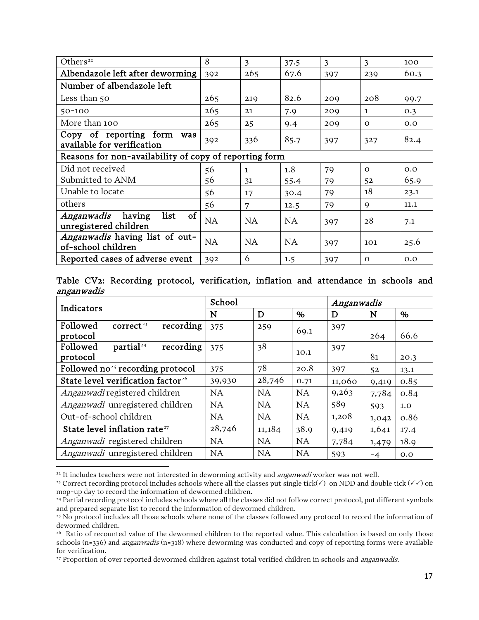| Others <sup>22</sup>                                                   | 8   | 3            | 37.5 | 3   | 3           | 100  |  |
|------------------------------------------------------------------------|-----|--------------|------|-----|-------------|------|--|
| Albendazole left after deworming                                       | 392 | 265          | 67.6 | 397 | 239         | 60.3 |  |
| Number of albendazole left                                             |     |              |      |     |             |      |  |
| Less than 50                                                           | 265 | 219          | 82.6 | 209 | 208         | 99.7 |  |
| $50 - 100$                                                             | 265 | 21           | 7.9  | 209 | 1           | 0.3  |  |
| More than 100                                                          | 265 | 25           | 9.4  | 209 | $\Omega$    | 0.0  |  |
| Copy of reporting form<br>was<br>available for verification            | 392 | 336          | 85.7 | 397 | 327         | 82.4 |  |
| Reasons for non-availability of copy of reporting form                 |     |              |      |     |             |      |  |
| Did not received                                                       | 56  | $\mathbf{1}$ | 1.8  | 79  | $\Omega$    | 0.0  |  |
| Submitted to ANM                                                       | 56  | 31           | 55.4 | 79  | 52          | 65.9 |  |
| Unable to locate                                                       | 56  | 17           | 30.4 | 79  | 18          | 23.1 |  |
| others                                                                 | 56  | 7            | 12.5 | 79  | $\mathbf Q$ | 11.1 |  |
| list<br><sub>of</sub><br>Anganwadis<br>having<br>unregistered children | NA  | <b>NA</b>    | NA   | 397 | 28          | 7.1  |  |
| Anganwadis having list of out-<br>of-school children                   | NA  | <b>NA</b>    | NA   | 397 | 101         | 25.6 |  |
| Reported cases of adverse event                                        | 392 | 6            | 1.5  | 397 | $\Omega$    | 0.0  |  |

Table CV2: Recording protocol, verification, inflation and attendance in schools and anganwadis

| Indicators                                     | School    |           |           | Anganwadis |       |      |
|------------------------------------------------|-----------|-----------|-----------|------------|-------|------|
|                                                | N         | D         | %         | D          | N     | %    |
| recording<br>Followed<br>correct <sup>23</sup> | 375       | 259       | 69.1      | 397        |       |      |
| protocol                                       |           |           |           |            | 264   | 66.6 |
| partial <sup>24</sup><br>recording<br>Followed | 375       | 38        |           | 397        |       |      |
| protocol                                       |           |           | 10.1      |            | 81    | 20.3 |
| Followed $no25$ recording protocol             | 375       | 78        | 20.8      | 397        | 52    | 13.1 |
| State level verification factor <sup>26</sup>  | 39,930    | 28,746    | 0.71      | 11,060     | 9,419 | 0.85 |
| Anganwadi registered children                  | <b>NA</b> | <b>NA</b> | <b>NA</b> | 9,263      | 7,784 | 0.84 |
| Anganwadi unregistered children                | <b>NA</b> | NA.       | <b>NA</b> | 589        | 593   | 1.0  |
| Out-of-school children                         | <b>NA</b> | <b>NA</b> | <b>NA</b> | 1,208      | 1,042 | 0.86 |
| State level inflation rate <sup>27</sup>       | 28,746    | 11,184    | 38.9      | 9,419      | 1,641 | 17.4 |
| <i>Anganwadi</i> registered children           | <b>NA</b> | <b>NA</b> | <b>NA</b> | 7,784      | 1,479 | 18.9 |
| Anganwadi unregistered children                | NA        | <b>NA</b> | <b>NA</b> | 593        | $-4$  | 0.0  |

<span id="page-16-0"></span><sup>22</sup> It includes teachers were not interested in deworming activity and *anganwadi* worker was not well.

<span id="page-16-1"></span><sup>&</sup>lt;sup>23</sup> Correct recording protocol includes schools where all the classes put single tick( $\checkmark$ ) on NDD and double tick ( $\checkmark$ ) on mop-up day to record the information of dewormed children.

<span id="page-16-2"></span><sup>&</sup>lt;sup>24</sup> Partial recording protocol includes schools where all the classes did not follow correct protocol, put different symbols and prepared separate list to record the information of dewormed children.

<span id="page-16-3"></span><sup>&</sup>lt;sup>25</sup> No protocol includes all those schools where none of the classes followed any protocol to record the information of dewormed children.

<span id="page-16-4"></span><sup>&</sup>lt;sup>26</sup> Ratio of recounted value of the dewormed children to the reported value. This calculation is based on only those schools (n=336) and anganwadis (n=318) where deworming was conducted and copy of reporting forms were available for verification.

<span id="page-16-5"></span><sup>&</sup>lt;sup>27</sup> Proportion of over reported dewormed children against total verified children in schools and *anganwadis*.